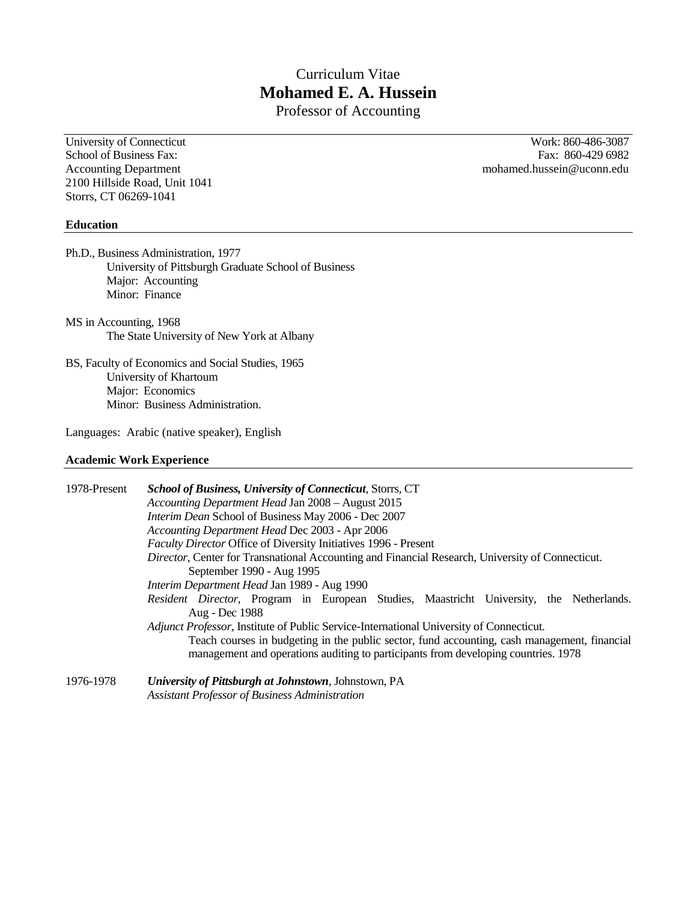# Curriculum Vitae **Mohamed E. A. Hussein**

Professor of Accounting

School of Business Fax: The School of Business Fax: Fax: 860-429 6982 Accounting Department mohamed.hussein@uconn.edu 2100 Hillside Road, Unit 1041 Storrs, CT 06269-1041

University of Connecticut Work: 860-486-3087

## **Education**

Ph.D., Business Administration, 1977 University of Pittsburgh Graduate School of Business Major: Accounting Minor: Finance

MS in Accounting, 1968 The State University of New York at Albany

BS, Faculty of Economics and Social Studies, 1965 University of Khartoum Major: Economics Minor: Business Administration.

Languages: Arabic (native speaker), English

# **Academic Work Experience**

| 1978-Present | <b>School of Business, University of Connecticut, Storrs, CT</b>                                                                                                                                                                                                              |                                                      |  |
|--------------|-------------------------------------------------------------------------------------------------------------------------------------------------------------------------------------------------------------------------------------------------------------------------------|------------------------------------------------------|--|
|              | Accounting Department Head Jan 2008 - August 2015                                                                                                                                                                                                                             |                                                      |  |
|              | Interim Dean School of Business May 2006 - Dec 2007                                                                                                                                                                                                                           |                                                      |  |
|              | Accounting Department Head Dec 2003 - Apr 2006<br>Faculty Director Office of Diversity Initiatives 1996 - Present                                                                                                                                                             |                                                      |  |
|              |                                                                                                                                                                                                                                                                               |                                                      |  |
|              | Interim Department Head Jan 1989 - Aug 1990                                                                                                                                                                                                                                   |                                                      |  |
|              | <i>Resident Director</i> , Program in European Studies, Maastricht University, the Netherlands.<br>Aug - Dec 1988                                                                                                                                                             |                                                      |  |
|              | Adjunct Professor, Institute of Public Service-International University of Connecticut.<br>Teach courses in budgeting in the public sector, fund accounting, cash management, financial<br>management and operations auditing to participants from developing countries. 1978 |                                                      |  |
|              | 1976-1978                                                                                                                                                                                                                                                                     | University of Pittsburgh at Johnstown, Johnstown, PA |  |

*Assistant Professor of Business Administration*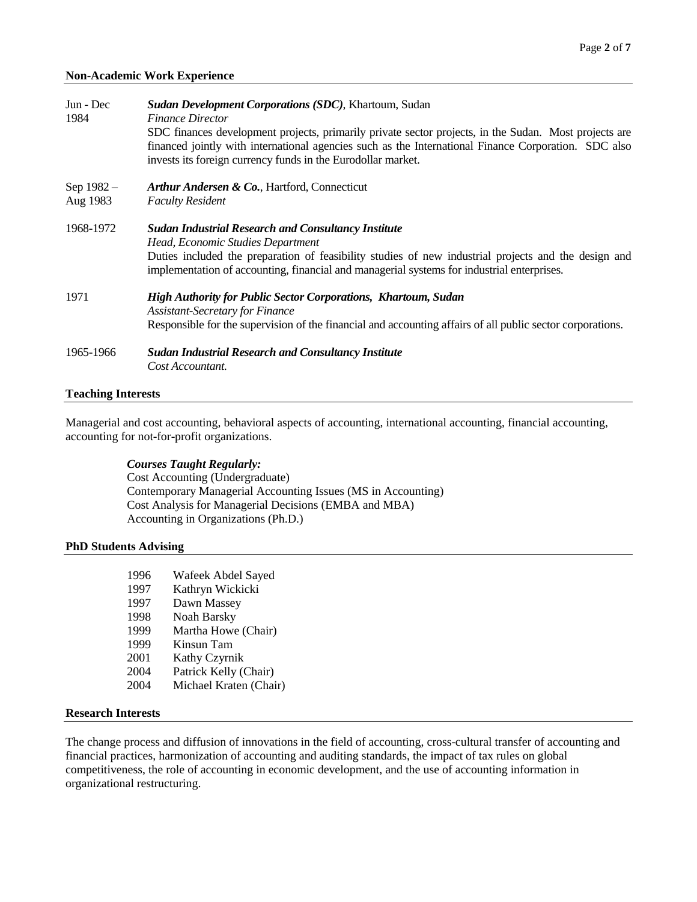#### **Non-Academic Work Experience**

| Jun - Dec<br>1984      | <b>Sudan Development Corporations (SDC), Khartoum, Sudan</b><br><b>Finance Director</b><br>SDC finances development projects, primarily private sector projects, in the Sudan. Most projects are<br>financed jointly with international agencies such as the International Finance Corporation. SDC also<br>invests its foreign currency funds in the Eurodollar market. |  |
|------------------------|--------------------------------------------------------------------------------------------------------------------------------------------------------------------------------------------------------------------------------------------------------------------------------------------------------------------------------------------------------------------------|--|
| Sep 1982 -<br>Aug 1983 | Arthur Andersen & Co., Hartford, Connecticut<br><b>Faculty Resident</b>                                                                                                                                                                                                                                                                                                  |  |
| 1968-1972              | <b>Sudan Industrial Research and Consultancy Institute</b><br>Head, Economic Studies Department<br>Duties included the preparation of feasibility studies of new industrial projects and the design and<br>implementation of accounting, financial and managerial systems for industrial enterprises.                                                                    |  |
| 1971                   | <b>High Authority for Public Sector Corporations, Khartoum, Sudan</b><br><b>Assistant-Secretary for Finance</b><br>Responsible for the supervision of the financial and accounting affairs of all public sector corporations.                                                                                                                                            |  |
| 1965-1966              | <b>Sudan Industrial Research and Consultancy Institute</b><br>Cost Accountant.                                                                                                                                                                                                                                                                                           |  |

## **Teaching Interests**

Managerial and cost accounting, behavioral aspects of accounting, international accounting, financial accounting, accounting for not-for-profit organizations.

## *Courses Taught Regularly:*

Cost Accounting (Undergraduate) Contemporary Managerial Accounting Issues (MS in Accounting) Cost Analysis for Managerial Decisions (EMBA and MBA) Accounting in Organizations (Ph.D.)

#### **PhD Students Advising**

| 1996 | Wafeek Abdel Sayed     |
|------|------------------------|
| 1997 | Kathryn Wickicki       |
| 1997 | Dawn Massey            |
| 1998 | Noah Barsky            |
| 1999 | Martha Howe (Chair)    |
| 1999 | Kinsun Tam             |
| 2001 | Kathy Czyrnik          |
| 2004 | Patrick Kelly (Chair)  |
| 2004 | Michael Kraten (Chair) |
|      |                        |

## **Research Interests**

The change process and diffusion of innovations in the field of accounting, cross-cultural transfer of accounting and financial practices, harmonization of accounting and auditing standards, the impact of tax rules on global competitiveness, the role of accounting in economic development, and the use of accounting information in organizational restructuring.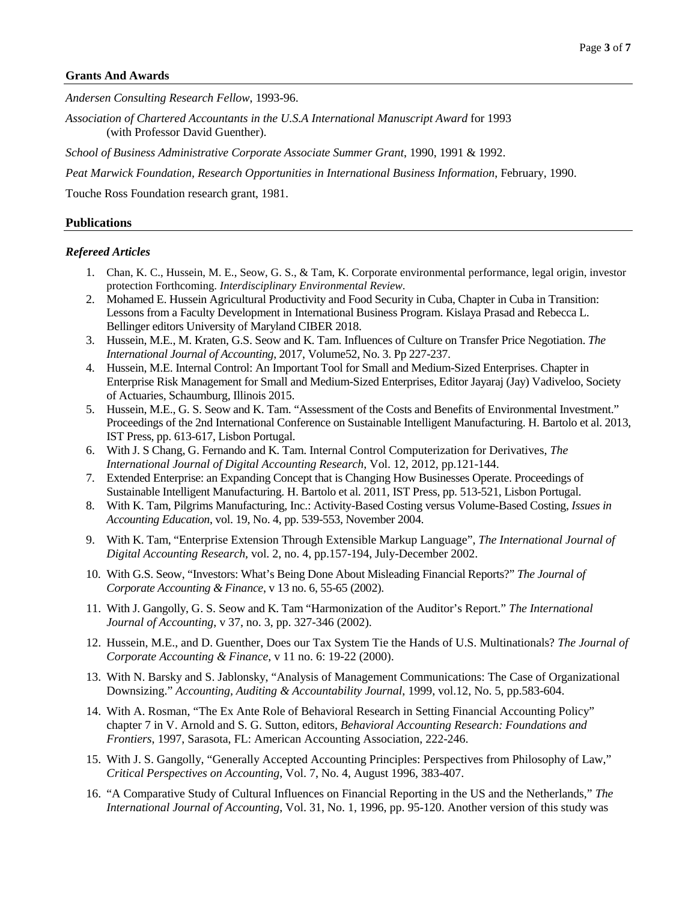### **Grants And Awards**

*Andersen Consulting Research Fellow*, 1993-96.

*Association of Chartered Accountants in the U.S.A International Manuscript Award* for 1993 (with Professor David Guenther).

*School of Business Administrative Corporate Associate Summer Grant*, 1990, 1991 & 1992.

*Peat Marwick Foundation, Research Opportunities in International Business Information*, February, 1990.

Touche Ross Foundation research grant, 1981.

#### **Publications**

#### *Refereed Articles*

- 1. Chan, K. C., Hussein, M. E., Seow, G. S., & Tam, K. Corporate environmental performance, legal origin, investor protection Forthcoming. *Interdisciplinary Environmental Review*.
- 2. Mohamed E. Hussein Agricultural Productivity and Food Security in Cuba, Chapter in Cuba in Transition: Lessons from a Faculty Development in International Business Program. Kislaya Prasad and Rebecca L. Bellinger editors University of Maryland CIBER 2018.
- 3. Hussein, M.E., M. Kraten, G.S. Seow and K. Tam. Influences of Culture on Transfer Price Negotiation. *The International Journal of Accounting*, 2017, Volume52, No. 3. Pp 227-237.
- 4. Hussein, M.E. Internal Control: An Important Tool for Small and Medium-Sized Enterprises. Chapter in Enterprise Risk Management for Small and Medium-Sized Enterprises, Editor Jayaraj (Jay) Vadiveloo, Society of Actuaries, Schaumburg, Illinois 2015.
- 5. Hussein, M.E., G. S. Seow and K. Tam. "Assessment of the Costs and Benefits of Environmental Investment." Proceedings of the 2nd International Conference on Sustainable Intelligent Manufacturing. H. Bartolo et al. 2013, IST Press, pp. 613-617, Lisbon Portugal.
- 6. With J. S Chang, G. Fernando and K. Tam. Internal Control Computerization for Derivatives, *The International Journal of Digital Accounting Research*, Vol. 12, 2012, pp.121-144.
- 7. Extended Enterprise: an Expanding Concept that is Changing How Businesses Operate. Proceedings of Sustainable Intelligent Manufacturing. H. Bartolo et al. 2011, IST Press, pp. 513-521, Lisbon Portugal.
- 8. With K. Tam, Pilgrims Manufacturing, Inc.: Activity-Based Costing versus Volume-Based Costing, *Issues in Accounting Education*, vol. 19, No. 4, pp. 539-553, November 2004.
- 9. With K. Tam, "Enterprise Extension Through Extensible Markup Language", *The International Journal of Digital Accounting Research,* vol. 2, no. 4, pp.157-194, July-December 2002.
- 10. With G.S. Seow, "Investors: What's Being Done About Misleading Financial Reports?" *The Journal of Corporate Accounting & Finance*, v 13 no. 6, 55-65 (2002).
- 11. With J. Gangolly, G. S. Seow and K. Tam "Harmonization of the Auditor's Report." *The International Journal of Accounting*, v 37, no. 3, pp. 327-346 (2002).
- 12. Hussein, M.E., and D. Guenther, Does our Tax System Tie the Hands of U.S. Multinationals? *The Journal of Corporate Accounting & Finance*, v 11 no. 6: 19-22 (2000).
- 13. With N. Barsky and S. Jablonsky, "Analysis of Management Communications: The Case of Organizational Downsizing." *Accounting, Auditing & Accountability Journal*, 1999, vol.12, No. 5, pp.583-604.
- 14. With A. Rosman, "The Ex Ante Role of Behavioral Research in Setting Financial Accounting Policy" chapter 7 in V. Arnold and S. G. Sutton, editors, *Behavioral Accounting Research: Foundations and Frontiers*, 1997, Sarasota, FL: American Accounting Association, 222-246.
- 15. With J. S. Gangolly, "Generally Accepted Accounting Principles: Perspectives from Philosophy of Law," *Critical Perspectives on Accounting*, Vol. 7, No. 4, August 1996, 383-407.
- 16. "A Comparative Study of Cultural Influences on Financial Reporting in the US and the Netherlands," *The International Journal of Accounting*, Vol. 31, No. 1, 1996, pp. 95-120. Another version of this study was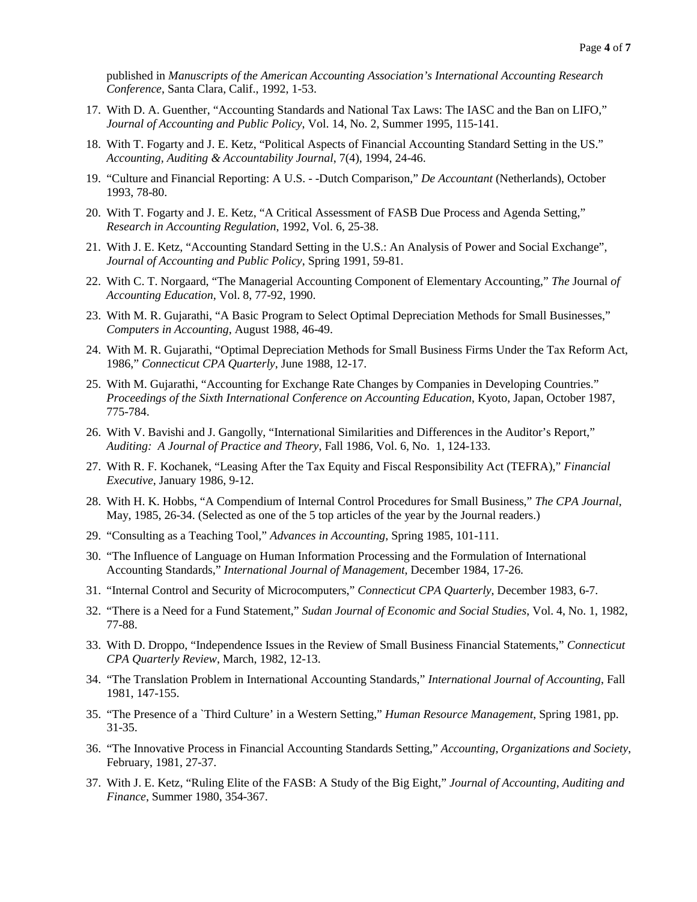published in *Manuscripts of the American Accounting Association's International Accounting Research Conference*, Santa Clara, Calif., 1992, 1-53.

- 17. With D. A. Guenther, "Accounting Standards and National Tax Laws: The IASC and the Ban on LIFO," *Journal of Accounting and Public Policy*, Vol. 14, No. 2, Summer 1995, 115-141.
- 18. With T. Fogarty and J. E. Ketz, "Political Aspects of Financial Accounting Standard Setting in the US." *Accounting, Auditing & Accountability Journal*, 7(4), 1994, 24-46.
- 19. "Culture and Financial Reporting: A U.S. -Dutch Comparison," *De Accountant* (Netherlands), October 1993, 78-80.
- 20. With T. Fogarty and J. E. Ketz, "A Critical Assessment of FASB Due Process and Agenda Setting," *Research in Accounting Regulation*, 1992, Vol. 6, 25-38.
- 21. With J. E. Ketz, "Accounting Standard Setting in the U.S.: An Analysis of Power and Social Exchange", *Journal of Accounting and Public Policy*, Spring 1991, 59-81.
- 22. With C. T. Norgaard, "The Managerial Accounting Component of Elementary Accounting," *The* Journal *of Accounting Education*, Vol. 8, 77-92, 1990.
- 23. With M. R. Gujarathi, "A Basic Program to Select Optimal Depreciation Methods for Small Businesses," *Computers in Accounting*, August 1988, 46-49.
- 24. With M. R. Gujarathi, "Optimal Depreciation Methods for Small Business Firms Under the Tax Reform Act, 1986," *Connecticut CPA Quarterly*, June 1988, 12-17.
- 25. With M. Gujarathi, "Accounting for Exchange Rate Changes by Companies in Developing Countries." *Proceedings of the Sixth International Conference on Accounting Education*, Kyoto, Japan, October 1987, 775-784.
- 26. With V. Bavishi and J. Gangolly, "International Similarities and Differences in the Auditor's Report," *Auditing: A Journal of Practice and Theory*, Fall 1986, Vol. 6, No. 1, 124-133.
- 27. With R. F. Kochanek, "Leasing After the Tax Equity and Fiscal Responsibility Act (TEFRA)," *Financial Executive*, January 1986, 9-12.
- 28. With H. K. Hobbs, "A Compendium of Internal Control Procedures for Small Business," *The CPA Journal*, May, 1985, 26-34. (Selected as one of the 5 top articles of the year by the Journal readers.)
- 29. "Consulting as a Teaching Tool," *Advances in Accounting*, Spring 1985, 101-111.
- 30. "The Influence of Language on Human Information Processing and the Formulation of International Accounting Standards," *International Journal of Management*, December 1984, 17-26.
- 31. "Internal Control and Security of Microcomputers," *Connecticut CPA Quarterly*, December 1983, 6-7.
- 32. "There is a Need for a Fund Statement," *Sudan Journal of Economic and Social Studies*, Vol. 4, No. 1, 1982, 77-88.
- 33. With D. Droppo, "Independence Issues in the Review of Small Business Financial Statements," *Connecticut CPA Quarterly Review*, March, 1982, 12-13.
- 34. "The Translation Problem in International Accounting Standards," *International Journal of Accounting*, Fall 1981, 147-155.
- 35. "The Presence of a `Third Culture' in a Western Setting," *Human Resource Management*, Spring 1981, pp. 31-35.
- 36. "The Innovative Process in Financial Accounting Standards Setting," *Accounting, Organizations and Society*, February, 1981, 27-37.
- 37. With J. E. Ketz, "Ruling Elite of the FASB: A Study of the Big Eight," *Journal of Accounting, Auditing and Finance*, Summer 1980, 354-367.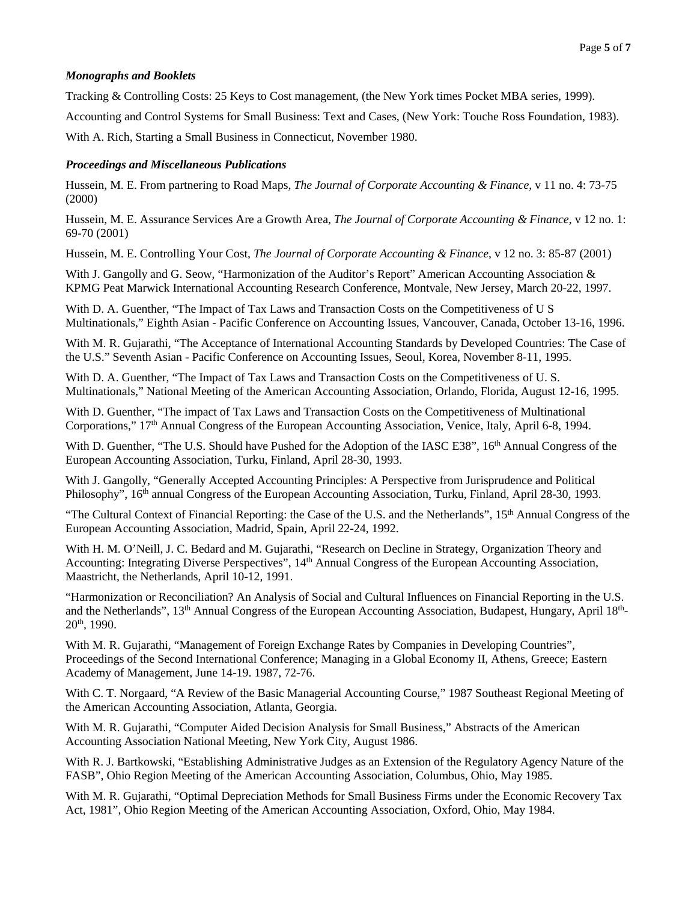## *Monographs and Booklets*

Tracking & Controlling Costs: 25 Keys to Cost management, (the New York times Pocket MBA series, 1999).

Accounting and Control Systems for Small Business: Text and Cases, (New York: Touche Ross Foundation, 1983).

With A. Rich, Starting a Small Business in Connecticut, November 1980.

## *Proceedings and Miscellaneous Publications*

Hussein, M. E. From partnering to Road Maps, *The Journal of Corporate Accounting & Finance*, v 11 no. 4: 73-75 (2000)

Hussein, M. E. Assurance Services Are a Growth Area, *The Journal of Corporate Accounting & Finance*, v 12 no. 1: 69-70 (2001)

Hussein, M. E. Controlling Your Cost, *The Journal of Corporate Accounting & Finance*, v 12 no. 3: 85-87 (2001)

With J. Gangolly and G. Seow, "Harmonization of the Auditor's Report" American Accounting Association & KPMG Peat Marwick International Accounting Research Conference, Montvale, New Jersey, March 20-22, 1997.

With D. A. Guenther, "The Impact of Tax Laws and Transaction Costs on the Competitiveness of U S Multinationals," Eighth Asian - Pacific Conference on Accounting Issues, Vancouver, Canada, October 13-16, 1996.

With M. R. Gujarathi, "The Acceptance of International Accounting Standards by Developed Countries: The Case of the U.S." Seventh Asian - Pacific Conference on Accounting Issues, Seoul, Korea, November 8-11, 1995.

With D. A. Guenther, "The Impact of Tax Laws and Transaction Costs on the Competitiveness of U. S. Multinationals," National Meeting of the American Accounting Association, Orlando, Florida, August 12-16, 1995.

With D. Guenther, "The impact of Tax Laws and Transaction Costs on the Competitiveness of Multinational Corporations," 17th Annual Congress of the European Accounting Association, Venice, Italy, April 6-8, 1994.

With D. Guenther, "The U.S. Should have Pushed for the Adoption of the IASC E38", 16<sup>th</sup> Annual Congress of the European Accounting Association, Turku, Finland, April 28-30, 1993.

With J. Gangolly, "Generally Accepted Accounting Principles: A Perspective from Jurisprudence and Political Philosophy", 16<sup>th</sup> annual Congress of the European Accounting Association, Turku, Finland, April 28-30, 1993.

"The Cultural Context of Financial Reporting: the Case of the U.S. and the Netherlands",  $15<sup>th</sup>$  Annual Congress of the European Accounting Association, Madrid, Spain, April 22-24, 1992.

With H. M. O'Neill, J. C. Bedard and M. Gujarathi, "Research on Decline in Strategy, Organization Theory and Accounting: Integrating Diverse Perspectives", 14<sup>th</sup> Annual Congress of the European Accounting Association, Maastricht, the Netherlands, April 10-12, 1991.

"Harmonization or Reconciliation? An Analysis of Social and Cultural Influences on Financial Reporting in the U.S. and the Netherlands", 13th Annual Congress of the European Accounting Association, Budapest, Hungary, April 18th-20th, 1990.

With M. R. Gujarathi, "Management of Foreign Exchange Rates by Companies in Developing Countries", Proceedings of the Second International Conference; Managing in a Global Economy II, Athens, Greece; Eastern Academy of Management, June 14-19. 1987, 72-76.

With C. T. Norgaard, "A Review of the Basic Managerial Accounting Course," 1987 Southeast Regional Meeting of the American Accounting Association, Atlanta, Georgia.

With M. R. Gujarathi, "Computer Aided Decision Analysis for Small Business," Abstracts of the American Accounting Association National Meeting, New York City, August 1986.

With R. J. Bartkowski, "Establishing Administrative Judges as an Extension of the Regulatory Agency Nature of the FASB", Ohio Region Meeting of the American Accounting Association, Columbus, Ohio, May 1985.

With M. R. Gujarathi, "Optimal Depreciation Methods for Small Business Firms under the Economic Recovery Tax Act, 1981", Ohio Region Meeting of the American Accounting Association, Oxford, Ohio, May 1984.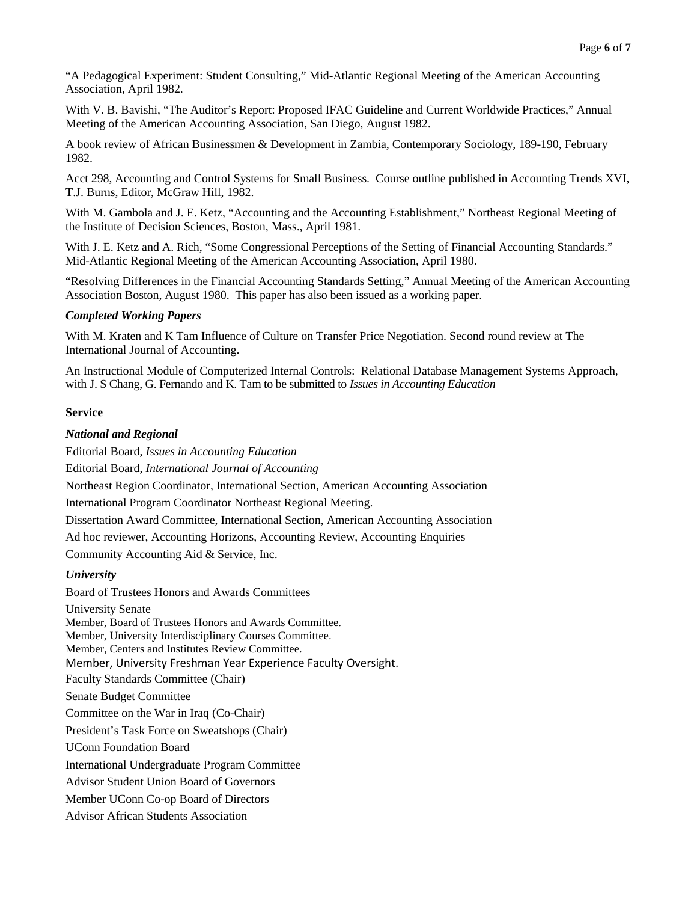"A Pedagogical Experiment: Student Consulting," Mid-Atlantic Regional Meeting of the American Accounting Association, April 1982.

With V. B. Bavishi, "The Auditor's Report: Proposed IFAC Guideline and Current Worldwide Practices," Annual Meeting of the American Accounting Association, San Diego, August 1982.

A book review of African Businessmen & Development in Zambia, Contemporary Sociology, 189-190, February 1982.

Acct 298, Accounting and Control Systems for Small Business. Course outline published in Accounting Trends XVI, T.J. Burns, Editor, McGraw Hill, 1982.

With M. Gambola and J. E. Ketz, "Accounting and the Accounting Establishment," Northeast Regional Meeting of the Institute of Decision Sciences, Boston, Mass., April 1981.

With J. E. Ketz and A. Rich, "Some Congressional Perceptions of the Setting of Financial Accounting Standards." Mid-Atlantic Regional Meeting of the American Accounting Association, April 1980.

"Resolving Differences in the Financial Accounting Standards Setting," Annual Meeting of the American Accounting Association Boston, August 1980. This paper has also been issued as a working paper.

## *Completed Working Papers*

With M. Kraten and K Tam Influence of Culture on Transfer Price Negotiation. Second round review at The International Journal of Accounting.

An Instructional Module of Computerized Internal Controls: Relational Database Management Systems Approach, with J. S Chang, G. Fernando and K. Tam to be submitted to *Issues in Accounting Education*

#### **Service**

# *National and Regional* Editorial Board, *Issues in Accounting Education*

Editorial Board, *International Journal of Accounting* Northeast Region Coordinator, International Section, American Accounting Association International Program Coordinator Northeast Regional Meeting. Dissertation Award Committee, International Section, American Accounting Association Ad hoc reviewer, Accounting Horizons, Accounting Review, Accounting Enquiries Community Accounting Aid & Service, Inc. *University* Board of Trustees Honors and Awards Committees University Senate Member, Board of Trustees Honors and Awards Committee. Member, University Interdisciplinary Courses Committee. Member, Centers and Institutes Review Committee. Member, University Freshman Year Experience Faculty Oversight. Faculty Standards Committee (Chair) Senate Budget Committee Committee on the War in Iraq (Co-Chair) President's Task Force on Sweatshops (Chair) UConn Foundation Board International Undergraduate Program Committee Advisor Student Union Board of Governors Member UConn Co-op Board of Directors Advisor African Students Association